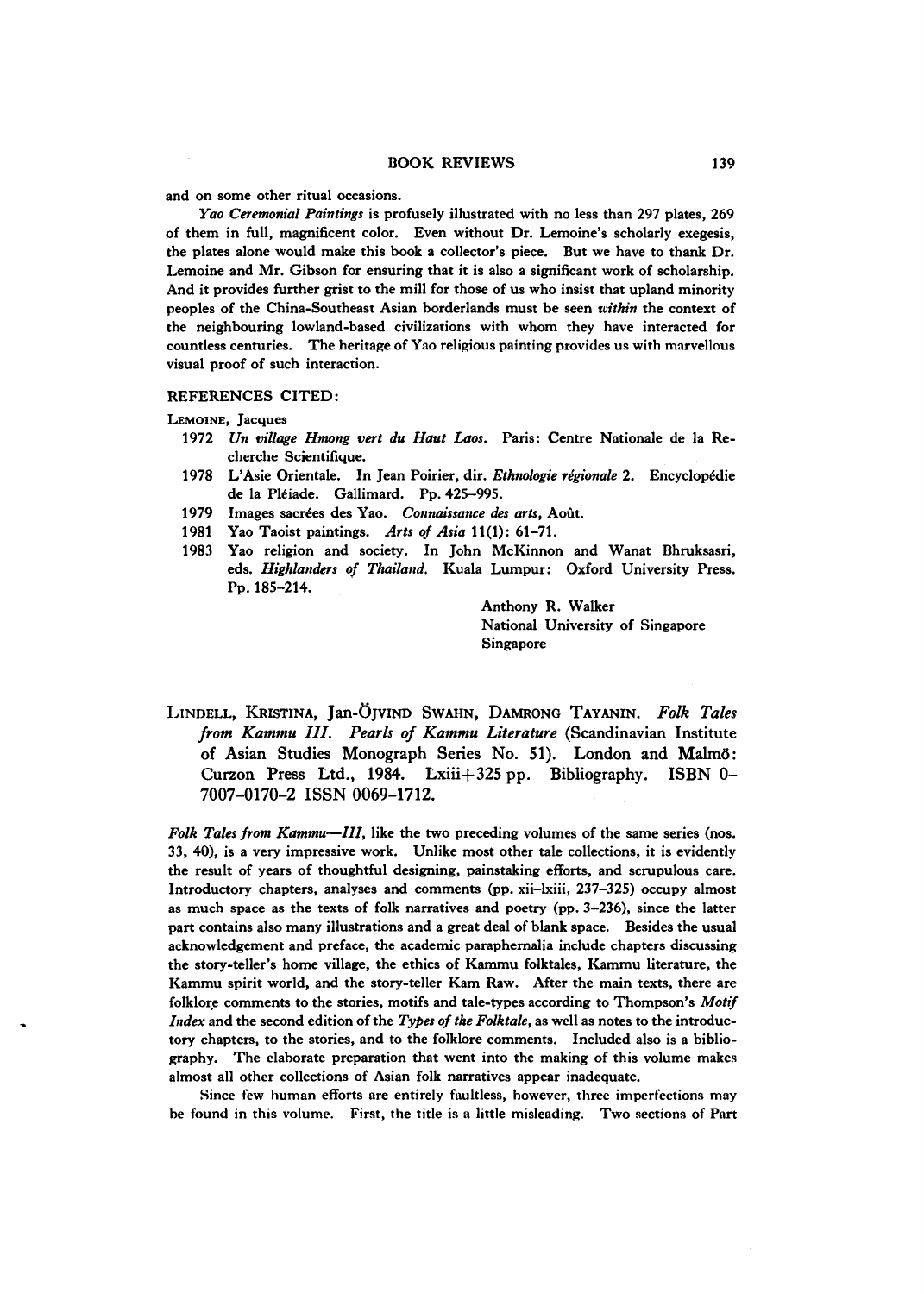and on some other ritual occasions.

*Yao Ceremonial Paintings* is profusely illustrated with no less than 297 plates, 269 of them in full, magnificent color. Even without Dr. Lemoine's scholarly exegesis, the plates alone would make this book a collector's piece. But we have to thank Dr. Lemoine and Mr. Gibson for ensuring that it is also a significant work of scholarship. And it provides further grist to the mill for those of us who insist that upland minority peoples of the China-Southeast Asian borderlands must be seen *within* the context of the neighbouring lowland-based civilizations with whom they have interacted for countless centuries. The heritage of Yao religious painting provides us with marvellous visual proof of such interaction.

### REFERENCES CITED:

Lemoine, Jacques

- 1972 *Un village Hmong vert du Haut Laos.* Paris: Centre Nationale de la Recherche Scientifique.
- 1978 L'Asie Orientale. In Jean Poirier, dir. *Ethnologie régionale* 2. Encyclopédie de la Pléiade. Gallimard. Pp. 425-995.
- 1979 Images sacrées des Yao. Connaissance des arts, Août.
- 1981 Yao Taoist paintings. *Arts of Asia* 11(1): 61-71.
- 1983 Yao religion and society. In John McKinnon and Wanat Bhruksasri, eds. *Highlanders of Thailand.* Kuala Lumpur: Oxford University Press. Pp. 185-214.

Anthony R. Walker National University of Singapore Singapore

LINDELL, KRISTINA, Jan-OJVIND SWAHN, DAMRONG TAYANIN. Folk Tales *from Kammu IIL Pearls of Kammu Literature* (Scandinavian Institute of Asian Studies Monograph Series No. 51). London and Malmo: Curzon Press Ltd., 1984. Lxiii+325 pp. Bibliography. ISBN 0 7007-0170-2 ISSN 0069-1712.

*Folk Tales from Kammu—III*, like the two preceding volumes of the same series (nos. 33, 40), is a very impressive work. Unlike most other tale collections, it is evidently the result of years of thoughtful designing, painstaking efforts, and scrupulous care. Introductory chapters, analyses and comments (pp. xii-lxiii, 237-325) occupy almost as much space as the texts of folk narratives and poetry (pp. 3-236), since the latter part contains also many illustrations and a great deal of blank space. Besides the usual acknowledgement and preface, the academic paraphernalia include chapters discussing the story-teller's home village, the ethics of Kammu folktales, Kammu literature, the Kammu spirit world, and the story-teller Kam Raw. After the main texts, there are folklore comments to the stories, motifs and tale-types according to Thompson's *Motif Index* and the second edition of the *Types of the Folktale,* as well as notes to the introductory chapters, to the stories, and to the folklore comments. Included also is a bibliography. The elaborate preparation that went into the making of this volume makes almost all other collections of Asian folk narratives appear inadequate.

Since few human efforts are entirely faultless, however, three imperfections may be found in this volume. First, the title is a little misleading. Two sections of Part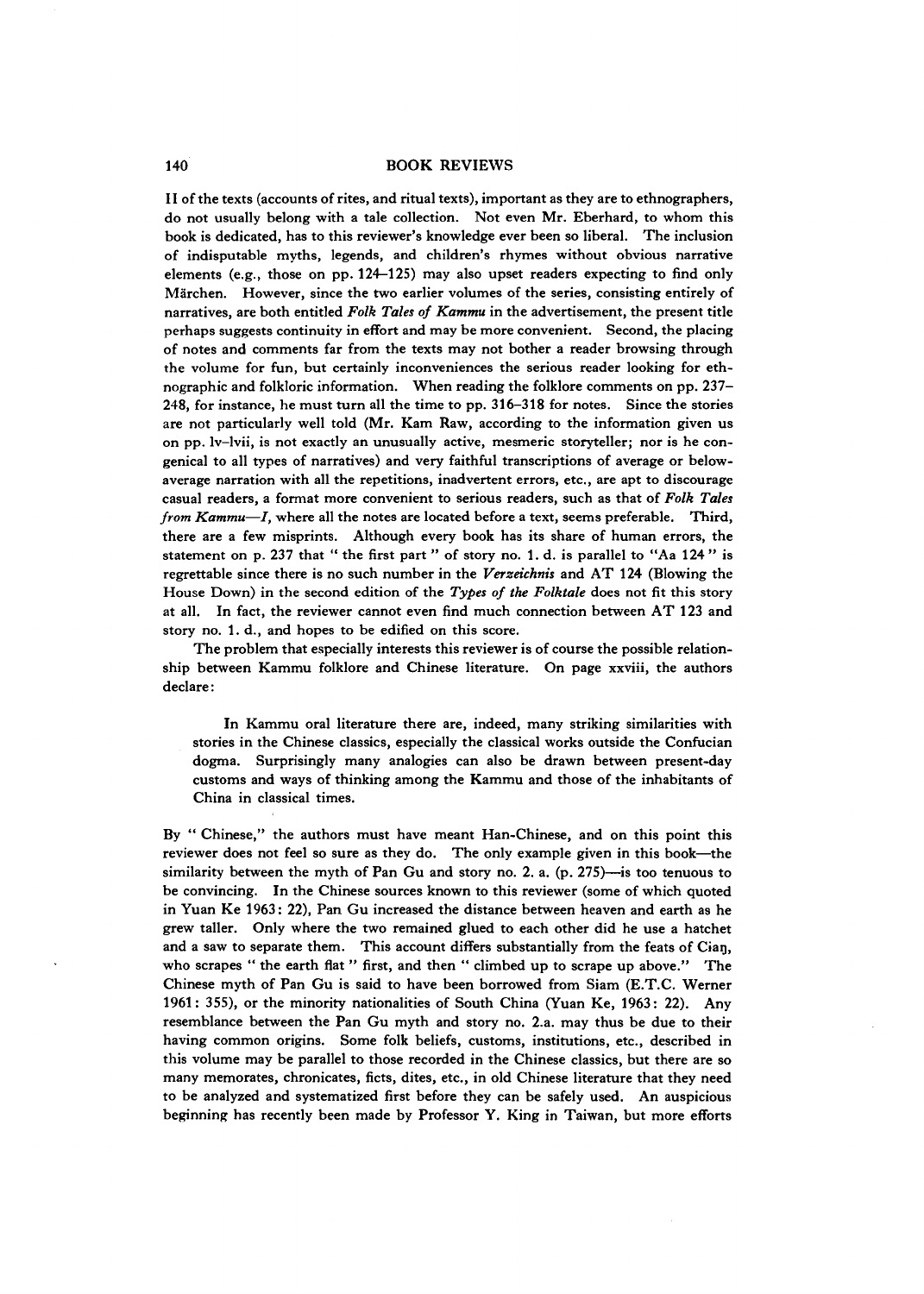#### 140 BOOK REVIEWS

II of the texts (accounts of rites, and ritual texts), important as they are to ethnographers, do not usually belong with a tale collection. Not even Mr. Eberhard, to whom this book is dedicated, has to this reviewer's knowledge ever been so liberal. The inclusion of indisputable myths, legends, and children's rhymes without obvious narrative elements (e.g., those on pp. 124—125) may also upset readers expecting to find only Marchen. However, since the two earlier volumes of the series, consisting entirely of narratives, are both entitled *Folk Tales of Kammu* in the advertisement, the present title perhaps suggests continuity in effort and may be more convenient. Second, the placing of notes and comments far from the texts may not bother a reader browsing through the volume for fun, but certainly inconveniences the serious reader looking for ethnographic and folkloric information. When reading the folklore comments on pp. 237 248, for instance, he must turn all the time to pp. 316-318 for notes. Since the stories are not particularly well told (Mr. Kam Raw, according to the information given us on pp. lv-lvii, is not exactly an unusually active, mesmeric storyteller; nor is he congenical to all types of narratives) and very faithful transcriptions of average or belowaverage narration with all the repetitions, inadvertent errors, etc., are apt to discourage casual readers, a format more convenient to serious readers, such as that of *Folk Tales from Kammu-I*, where all the notes are located before a text, seems preferable. Third, there are a few misprints. Although every book has its share of human errors, the statement on p. 237 that " the first part " of story no. 1. d. is parallel to "Aa 124" is regrettable since there is no such number in the *Verzeichnis* and AT 124 (Blowing the House Down) in the second edition of the *Types of the Folktale* does not fit this story at all. In fact, the reviewer cannot even find much connection between AT i23 and story no. 1. d., and hopes to be edified on this score.

The problem that especially interests this reviewer is of course the possible relationship between Kammu folklore and Chinese literature. On page xxviii, the authors declare:

In Kammu oral literature there are, indeed, many striking similarities with stories in the Chinese classics, especially the classical works outside the Confucian dogma. Surprisingly many analogies can also be drawn between present-day customs and ways of thinking among the Kammu and those of the inhabitants of China in classical times.

By " Chinese," the authors must have meant Han-Chinese, and on this point this reviewer does not feel so sure as they do. The only example given in this book—the similarity between the myth of Pan Gu and story no. *2.* a. (p. 275)—is too tenuous to be convincing. In the Chinese sources known to this reviewer (some of which quoted in Yuan Ke 1963: 22), Pan Gu increased the distance between heaven and earth as he grew taller. Only where the two remained glued to each other did he use a hatchet and a saw to separate them. This account differs substantially from the feats of Ciaq, who scrapes " the earth flat " first, and then " climbed up to scrape up above." The Chinese myth of Pan Gu is said to have been borrowed from Siam (E.T.C. Werner 1961: 355), or the minority nationalities of South China (Yuan Ke, 1963: 22). Any resemblance between the Pan Gu myth and story no. 2.a. may thus be due to their having common origins. Some folk beliefs, customs, institutions, etc., described in this volume may be parallel to those recorded in the Chinese classics, but there are so many memorates, chronicates, ficts, dites, etc., in old Chinese literature that they need to be analyzed and systematized first before they can be safely used. An auspicious beginning has recently been made by Professor Y. King in Taiwan, but more efforts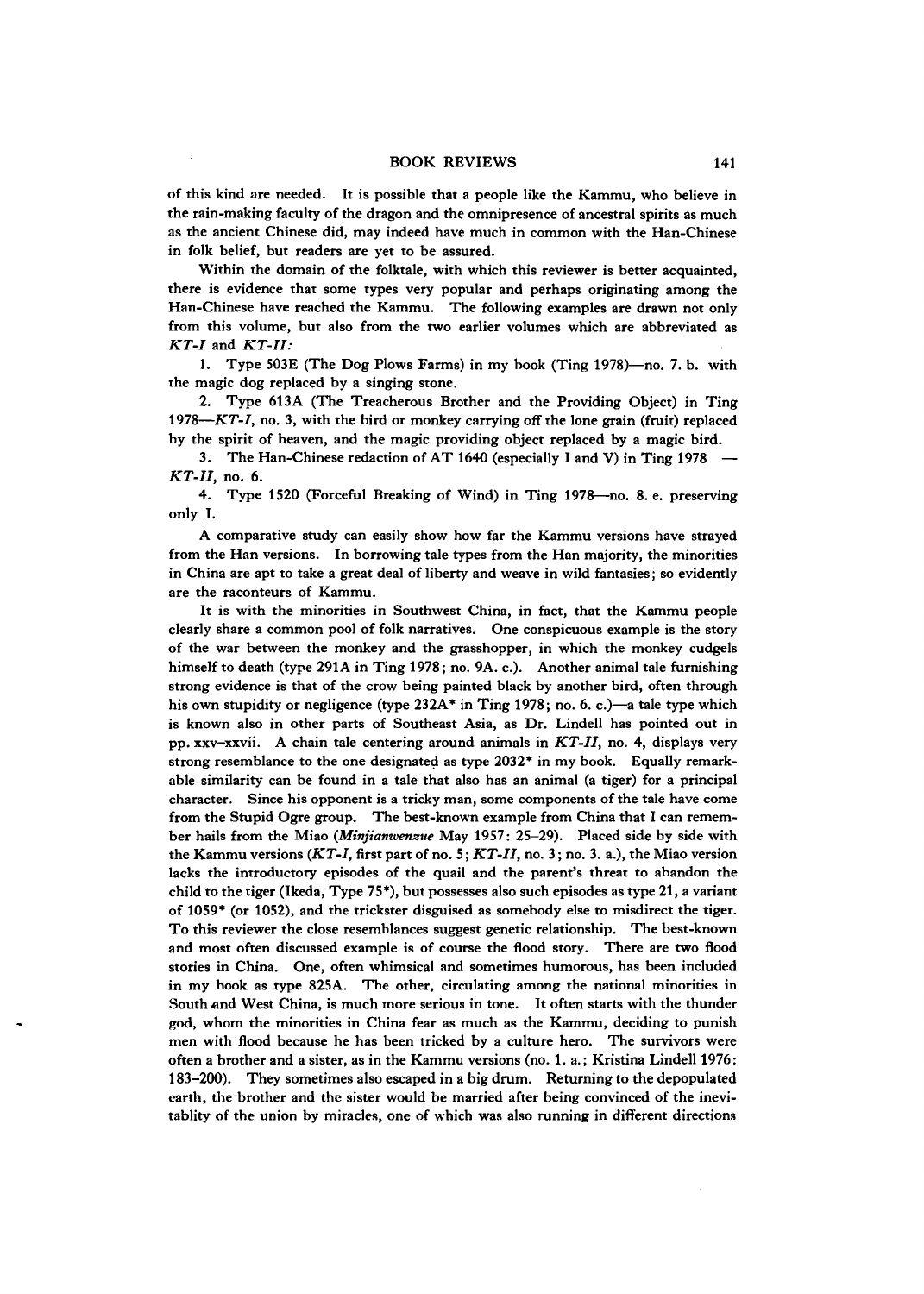# BOOK REVIEWS 141

of this kind are needed. It is possible that a people like the Kammu, who believe in the rain-making faculty of the dragon and the omnipresence of ancestral spirits as much as the ancient Chinese did, may indeed have much in common with the Han-Chinese in folk belief, but readers are yet to be assured.

Within the domain of the folktale, with which this reviewer is better acquainted, there is evidence that some types very popular and perhaps originating among the Han-Chinese have reached the Kammu. The following examples are drawn not only from this volume, but also from the two earlier volumes which are abbreviated as *KT-I* and *KT-II:*

1. Type 503E (The Dog Plows Farms) in my book (Ting 1978)—no. 7. b. with the magic dog replaced by a singing stone.

2. Type 613A (The Treacherous Brother and the Providing Object) in Ting 1978—*KT-I*, no. 3, with the bird or monkey carrying off the lone grain (fruit) replaced by the spirit of heaven, and the magic providing object replaced by a magic bird.

3. The Han-Chinese redaction of AT 1640 (especially I and V) in Ting 1978  $-$ *KT-II*, no. 6.

4. Type 1520 (Forceful Breaking of Wind) in Ting 1978—no. 8. e. preserving only I.

A comparative study can easily show how far the Kammu versions have strayed from the Han versions. In borrowing tale types from the Han majority, the minorities in China are apt to take a great deal of liberty and weave in wild fantasies; so evidently are the raconteurs of Kammu.

It is with the minorities in Southwest China, in fact, that the Kammu people clearly share a common pool of folk narratives. One conspicuous example is the story of the war between the monkey and the grasshopper, in which the monkey cudgels himself to death (type 291A in Ting 1978; no. 9A. c.). Another animal tale furnishing strong evidence is that of the crow being painted black by another bird, often through his own stupidity or negligence (type 232A\* in Ting 1978; no. 6. c.)—a tale type which is known also in other parts of Southeast Asia, as Dr. Lindell has pointed out in pp. xxv—xxvii. A chain tale centering around animals in *KT-II* no. 4, displays very strong resemblance to the one designated as type 2032\* in my book. Equally remarkable similarity can be found in a tale that also has an animal (a tiger) for a principal character. Since his opponent is a tricky man, some components of the tale have come from the Stupid Ogre group. The best-known example from China that I can remember hails from the Miao *{Minjianwenzue* May 1957: 25-29). Placed side by side with the Kammu versions *(KT-I,* first part of no. 5; *KT-II,* no. 3; no. 3. a.), the Miao version lacks the introductory episodes of the quail and the parent's threat to abandon the child to the tiger (Ikeda, Type  $75^*$ ), but possesses also such episodes as type  $21$ , a variant of 1059\* (or 1052), and the trickster disguised as somebody else to misdirect the tiger. To this reviewer the close resemblances suggest genetic relationship. The best-known and most often discussed example is of course the flood story. There are two flood stories in China. One, often whimsical and sometimes humorous, has been included in my book as type 825A. The other, circulating among the national minorities in South and West China, is much more serious in tone. It often starts with the thunder god, whom the minorities in China fear as much as the Kammu, deciding to punish men with flood because he has been tricked by a culture hero. The survivors were often a brother and a sister, as in the Kammu versions (no.1.a.; Kristina Lindell 1976: 183-200). They sometimes also escaped in a big drum. Returning to the depopulated earth, the brother and the sister would be married after being convinced of the inevitablity of the union by miracles, one of which was also running in different directions